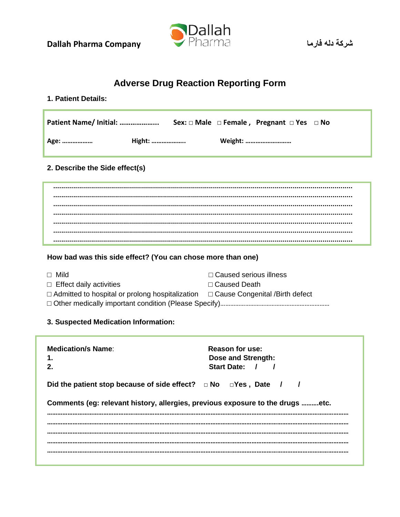**Dallah Pharma Company** 



# **Adverse Drug Reaction Reporting Form**

## 1. Patient Details:

| Patient Name/ Initial: |        |  | Sex: $\Box$ Male $\Box$ Female, Pregnant $\Box$ Yes $\Box$ No |  |
|------------------------|--------|--|---------------------------------------------------------------|--|
| , Age:                 | Hight: |  | Weight:                                                       |  |

## 2. Describe the Side effect(s)

## How bad was this side effect? (You can chose more than one)

| $\Box$ Mild                                                                                  | □ Caused serious illness |  |
|----------------------------------------------------------------------------------------------|--------------------------|--|
| $\Box$ Effect daily activities                                                               | $\Box$ Caused Death      |  |
| $\Box$ Admitted to hospital or prolong hospitalization $\Box$ Cause Congenital /Birth defect |                          |  |
|                                                                                              |                          |  |

### 3. Suspected Medication Information:

| <b>Medication/s Name:</b>                                                      | <b>Reason for use:</b><br>Dose and Strength:<br>Start Date: / / |  |
|--------------------------------------------------------------------------------|-----------------------------------------------------------------|--|
| Did the patient stop because of side effect? $\Box$ No $\Box$ Yes, Date / /    |                                                                 |  |
| Comments (eg: relevant history, allergies, previous exposure to the drugs etc. |                                                                 |  |
|                                                                                |                                                                 |  |
|                                                                                |                                                                 |  |
|                                                                                |                                                                 |  |